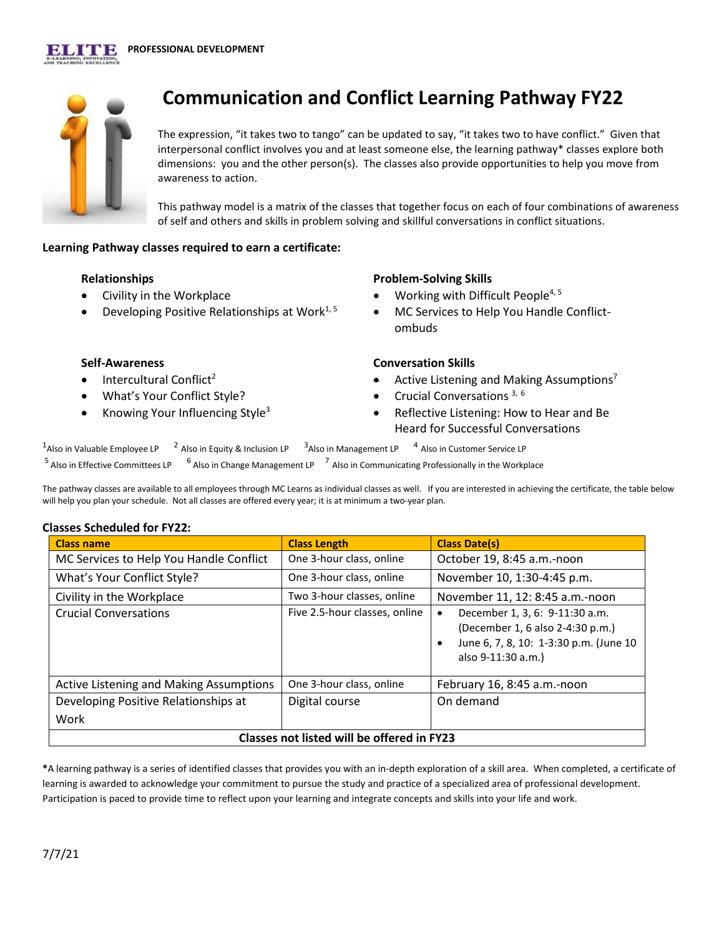

# **Communication and Conflict Learning Pathway FY22**

The expression, "it takes two to tango" can be updated to say, "it takes two to have conflict." Given that interpersonal conflict involves you and at least someone else, the learning pathway\* classes explore both dimensions: you and the other person(s). The classes also provide opportunities to help you move from awareness to action.

This pathway model is a matrix of the classes that together focus on each of four combinations of awareness of self and others and skills in problem solving and skillful conversations in conflict situations.

### **Learning Pathway classes required to earn a certificate:**

#### **Relationships**

- Civility in the Workplace
- Developing Positive Relationships at Work1, 5

### **Problem-Solving Skills**

- Working with Difficult People<sup>4, 5</sup>
- MC Services to Help You Handle Conflictombuds

### **Self-Awareness**

- Intercultural Conflict<sup>2</sup>
- What's Your Conflict Style?
- Knowing Your Influencing Style<sup>3</sup>

### **Conversation Skills**

- Active Listening and Making Assumptions<sup>7</sup>
- Crucial Conversations<sup>3, 6</sup>
- Reflective Listening: How to Hear and Be Heard for Successful Conversations

<sup>1</sup>Also in Valuable Employee LP  $12$  Also in Equity & Inclusion LP  $3$ <sup>4</sup> Also in Customer Service LP  $5$  Also in Effective Committees LP  $\frac{6}{9}$  Also in Change Management LP  $\frac{7}{9}$  Also in Communicating Professionally in the Workplace

The pathway classes are available to all employees through MC Learns as individual classes as well. If you are interested in achieving the certificate, the table below will help you plan your schedule. Not all classes are offered every year; it is at minimum a two-year plan.

### **Classes Scheduled for FY22:**

| <b>Class name</b>                          | <b>Class Length</b>           | <b>Class Date(s)</b>                                                                                                                         |
|--------------------------------------------|-------------------------------|----------------------------------------------------------------------------------------------------------------------------------------------|
| MC Services to Help You Handle Conflict    | One 3-hour class, online      | October 19, 8:45 a.m.-noon                                                                                                                   |
| What's Your Conflict Style?                | One 3-hour class, online      | November 10, 1:30-4:45 p.m.                                                                                                                  |
| Civility in the Workplace                  | Two 3-hour classes, online    | November 11, 12: 8:45 a.m.-noon                                                                                                              |
| <b>Crucial Conversations</b>               | Five 2.5-hour classes, online | December 1, 3, 6: 9-11:30 a.m.<br>٠<br>(December 1, 6 also 2-4:30 p.m.)<br>June 6, 7, 8, 10: 1-3:30 p.m. (June 10<br>٠<br>also 9-11:30 a.m.) |
| Active Listening and Making Assumptions    | One 3-hour class, online      | February 16, 8:45 a.m.-noon                                                                                                                  |
| Developing Positive Relationships at       | Digital course                | On demand                                                                                                                                    |
| Work                                       |                               |                                                                                                                                              |
| Classes not listed will be offered in FY23 |                               |                                                                                                                                              |

**\***A learning pathway is a series of identified classes that provides you with an in-depth exploration of a skill area. When completed, a certificate of learning is awarded to acknowledge your commitment to pursue the study and practice of a specialized area of professional development. Participation is paced to provide time to reflect upon your learning and integrate concepts and skills into your life and work.